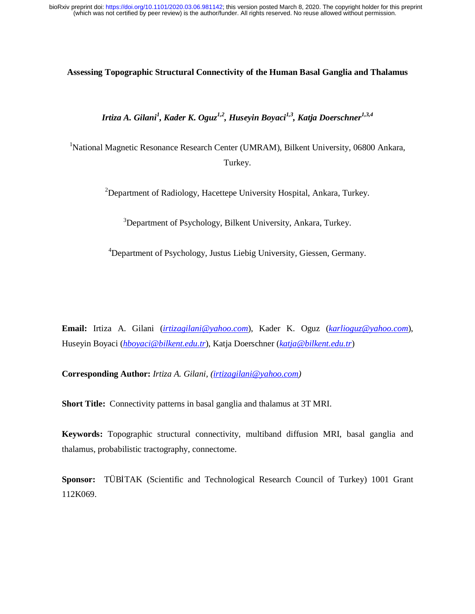# **Assessing Topographic Structural Connectivity of the Human Basal Ganglia and Thalamus**

*Irtiza A. Gilani<sup>1</sup> , Kader K. Oguz1,2, Huseyin Boyaci1,3, Katja Doerschner1,3,4*

<sup>1</sup>National Magnetic Resonance Research Center (UMRAM), Bilkent University, 06800 Ankara, Turkey.

 $2$ Department of Radiology, Hacettepe University Hospital, Ankara, Turkey.

<sup>3</sup>Department of Psychology, Bilkent University, Ankara, Turkey.

<sup>4</sup>Department of Psychology, Justus Liebig University, Giessen, Germany.

**Email:** Irtiza A. Gilani (*irtizagilani@yahoo.com*), Kader K. Oguz (*karlioguz@yahoo.com*), Huseyin Boyaci (*hboyaci@bilkent.edu.tr*), Katja Doerschner (*katja@bilkent.edu.tr*)

**Corresponding Author:** *Irtiza A. Gilani, (irtizagilani@yahoo.com)*

**Short Title:** Connectivity patterns in basal ganglia and thalamus at 3T MRI.

**Keywords:** Topographic structural connectivity, multiband diffusion MRI, basal ganglia and thalamus, probabilistic tractography, connectome.

**Sponsor:** TÜBİTAK (Scientific and Technological Research Council of Turkey) 1001 Grant 112K069.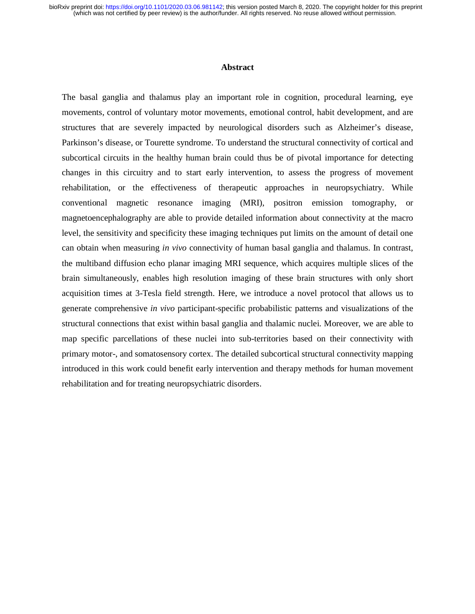#### **Abstract**

The basal ganglia and thalamus play an important role in cognition, procedural learning, eye movements, control of voluntary motor movements, emotional control, habit development, and are structures that are severely impacted by neurological disorders such as Alzheimer's disease, Parkinson's disease, or Tourette syndrome. To understand the structural connectivity of cortical and subcortical circuits in the healthy human brain could thus be of pivotal importance for detecting changes in this circuitry and to start early intervention, to assess the progress of movement rehabilitation, or the effectiveness of therapeutic approaches in neuropsychiatry. While conventional magnetic resonance imaging (MRI), positron emission tomography, or magnetoencephalography are able to provide detailed information about connectivity at the macro level, the sensitivity and specificity these imaging techniques put limits on the amount of detail one can obtain when measuring *in vivo* connectivity of human basal ganglia and thalamus. In contrast, the multiband diffusion echo planar imaging MRI sequence, which acquires multiple slices of the brain simultaneously, enables high resolution imaging of these brain structures with only short acquisition times at 3-Tesla field strength. Here, we introduce a novel protocol that allows us to generate comprehensive *in vivo* participant-specific probabilistic patterns and visualizations of the structural connections that exist within basal ganglia and thalamic nuclei. Moreover, we are able to map specific parcellations of these nuclei into sub-territories based on their connectivity with primary motor-, and somatosensory cortex. The detailed subcortical structural connectivity mapping introduced in this work could benefit early intervention and therapy methods for human movement rehabilitation and for treating neuropsychiatric disorders.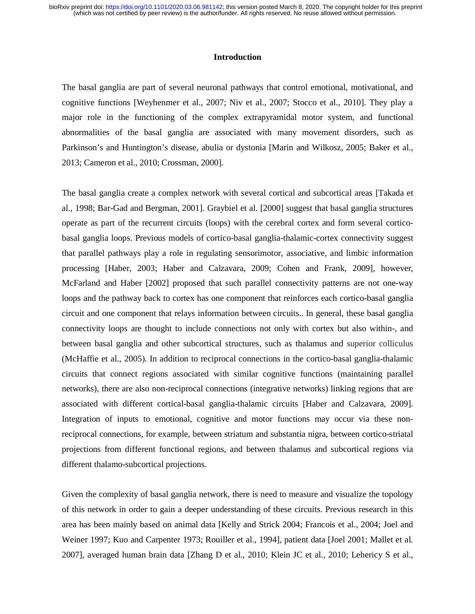### **Introduction**

The basal ganglia are part of several neuronal pathways that control emotional, motivational, and cognitive functions [Weyhenmer et al., 2007; Niv et al., 2007; Stocco et al., 2010]. They play a major role in the functioning of the complex extrapyramidal motor system, and functional abnormalities of the basal ganglia are associated with many movement disorders, such as Parkinson's and Huntington's disease, abulia or dystonia [Marin and Wilkosz, 2005; Baker et al., 2013; Cameron et al., 2010; Crossman, 2000].

The basal ganglia create a complex network with several cortical and subcortical areas [Takada et al., 1998; Bar-Gad and Bergman, 2001]. Graybiel et al. [2000] suggest that basal ganglia structures operate as part of the recurrent circuits (loops) with the cerebral cortex and form several corticobasal ganglia loops. Previous models of cortico-basal ganglia-thalamic-cortex connectivity suggest that parallel pathways play a role in regulating sensorimotor, associative, and limbic information processing [Haber, 2003; Haber and Calzavara, 2009; Cohen and Frank, 2009], however, McFarland and Haber [2002] proposed that such parallel connectivity patterns are not one-way loops and the pathway back to cortex has one component that reinforces each cortico-basal ganglia circuit and one component that relays information between circuits.. In general, these basal ganglia connectivity loops are thought to include connections not only with cortex but also within-, and between basal ganglia and other subcortical structures, such as thalamus and superior colliculus (McHaffie et al., 2005). In addition to reciprocal connections in the cortico-basal ganglia-thalamic circuits that connect regions associated with similar cognitive functions (maintaining parallel networks), there are also non-reciprocal connections (integrative networks) linking regions that are associated with different cortical-basal ganglia-thalamic circuits [Haber and Calzavara, 2009]. Integration of inputs to emotional, cognitive and motor functions may occur via these nonreciprocal connections, for example, between striatum and substantia nigra, between cortico-striatal projections from different functional regions, and between thalamus and subcortical regions via different thalamo-subcortical projections.

Given the complexity of basal ganglia network, there is need to measure and visualize the topology of this network in order to gain a deeper understanding of these circuits. Previous research in this area has been mainly based on animal data [Kelly and Strick 2004; Francois et al., 2004; Joel and Weiner 1997; Kuo and Carpenter 1973; Rouiller et al., 1994], patient data [Joel 2001; Mallet et al. 2007], averaged human brain data [Zhang D et al., 2010; Klein JC et al., 2010; Lehericy S et al.,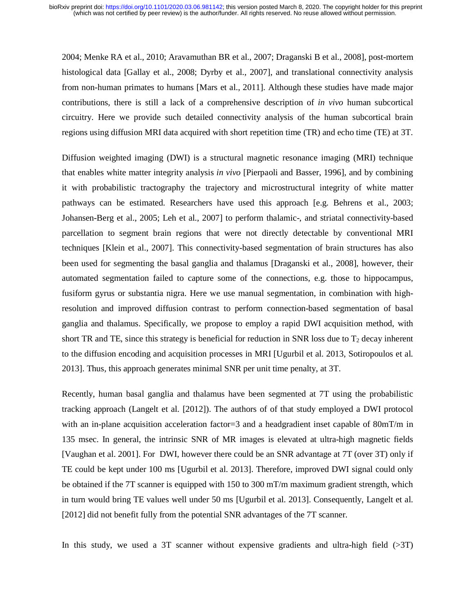2004; Menke RA et al., 2010; Aravamuthan BR et al., 2007; Draganski B et al., 2008], post-mortem histological data [Gallay et al., 2008; Dyrby et al., 2007], and translational connectivity analysis from non-human primates to humans [Mars et al., 2011]. Although these studies have made major contributions, there is still a lack of a comprehensive description of *in vivo* human subcortical circuitry. Here we provide such detailed connectivity analysis of the human subcortical brain regions using diffusion MRI data acquired with short repetition time (TR) and echo time (TE) at 3T.

Diffusion weighted imaging (DWI) is a structural magnetic resonance imaging (MRI) technique that enables white matter integrity analysis *in vivo* [Pierpaoli and Basser, 1996], and by combining it with probabilistic tractography the trajectory and microstructural integrity of white matter pathways can be estimated. Researchers have used this approach [e.g. Behrens et al., 2003; Johansen-Berg et al., 2005; Leh et al., 2007] to perform thalamic-, and striatal connectivity-based parcellation to segment brain regions that were not directly detectable by conventional MRI techniques [Klein et al., 2007]. This connectivity-based segmentation of brain structures has also been used for segmenting the basal ganglia and thalamus [Draganski et al., 2008], however, their automated segmentation failed to capture some of the connections, e.g. those to hippocampus, fusiform gyrus or substantia nigra. Here we use manual segmentation, in combination with highresolution and improved diffusion contrast to perform connection-based segmentation of basal ganglia and thalamus. Specifically, we propose to employ a rapid DWI acquisition method, with short TR and TE, since this strategy is beneficial for reduction in SNR loss due to  $T_2$  decay inherent to the diffusion encoding and acquisition processes in MRI [Ugurbil et al. 2013, Sotiropoulos et al. 2013]. Thus, this approach generates minimal SNR per unit time penalty, at 3T.

Recently, human basal ganglia and thalamus have been segmented at 7T using the probabilistic tracking approach (Langelt et al. [2012]). The authors of of that study employed a DWI protocol with an in-plane acquisition acceleration factor=3 and a headgradient inset capable of 80mT/m in 135 msec. In general, the intrinsic SNR of MR images is elevated at ultra-high magnetic fields [Vaughan et al. 2001]. For DWI, however there could be an SNR advantage at 7T (over 3T) only if TE could be kept under 100 ms [Ugurbil et al. 2013]. Therefore, improved DWI signal could only be obtained if the 7T scanner is equipped with 150 to 300 mT/m maximum gradient strength, which in turn would bring TE values well under 50 ms [Ugurbil et al. 2013]. Consequently, Langelt et al. [2012] did not benefit fully from the potential SNR advantages of the 7T scanner.

In this study, we used a 3T scanner without expensive gradients and ultra-high field (>3T)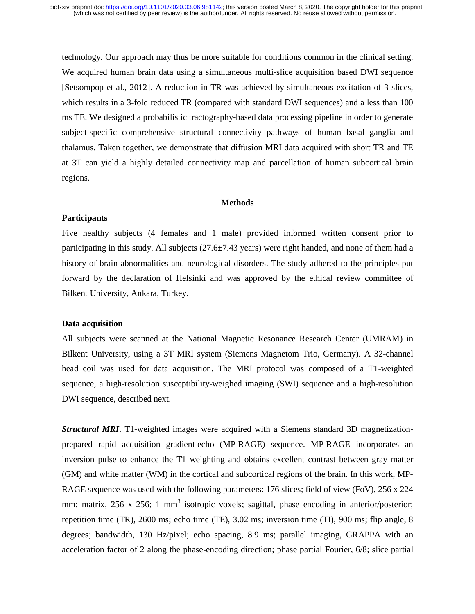technology. Our approach may thus be more suitable for conditions common in the clinical setting. We acquired human brain data using a simultaneous multi-slice acquisition based DWI sequence [Setsompop et al., 2012]. A reduction in TR was achieved by simultaneous excitation of 3 slices, which results in a 3-fold reduced TR (compared with standard DWI sequences) and a less than 100 ms TE. We designed a probabilistic tractography-based data processing pipeline in order to generate subject-specific comprehensive structural connectivity pathways of human basal ganglia and thalamus. Taken together, we demonstrate that diffusion MRI data acquired with short TR and TE at 3T can yield a highly detailed connectivity map and parcellation of human subcortical brain regions.

### **Methods**

### **Participants**

Five healthy subjects (4 females and 1 male) provided informed written consent prior to participating in this study. All subjects (27.6**±**7.43 years) were right handed, and none of them had a history of brain abnormalities and neurological disorders. The study adhered to the principles put forward by the declaration of Helsinki and was approved by the ethical review committee of Bilkent University, Ankara, Turkey.

# **Data acquisition**

All subjects were scanned at the National Magnetic Resonance Research Center (UMRAM) in Bilkent University, using a 3T MRI system (Siemens Magnetom Trio, Germany). A 32-channel head coil was used for data acquisition. The MRI protocol was composed of a T1-weighted sequence, a high-resolution susceptibility-weighed imaging (SWI) sequence and a high-resolution DWI sequence, described next.

*Structural MRI*. T1-weighted images were acquired with a Siemens standard 3D magnetizationprepared rapid acquisition gradient-echo (MP-RAGE) sequence. MP-RAGE incorporates an inversion pulse to enhance the T1 weighting and obtains excellent contrast between gray matter (GM) and white matter (WM) in the cortical and subcortical regions of the brain. In this work, MP-RAGE sequence was used with the following parameters: 176 slices; field of view (FoV), 256 x 224 mm; matrix, 256 x 256; 1 mm<sup>3</sup> isotropic voxels; sagittal, phase encoding in anterior/posterior; repetition time (TR), 2600 ms; echo time (TE), 3.02 ms; inversion time (TI), 900 ms; flip angle, 8 degrees; bandwidth, 130 Hz/pixel; echo spacing, 8.9 ms; parallel imaging, GRAPPA with an acceleration factor of 2 along the phase-encoding direction; phase partial Fourier, 6/8; slice partial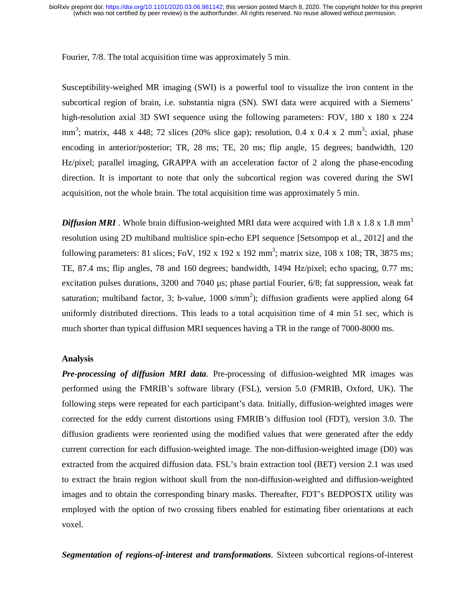Fourier, 7/8. The total acquisition time was approximately 5 min.

Susceptibility-weighed MR imaging (SWI) is a powerful tool to visualize the iron content in the subcortical region of brain, i.e. substantia nigra (SN). SWI data were acquired with a Siemens' high-resolution axial 3D SWI sequence using the following parameters: FOV, 180 x 180 x 224 mm<sup>3</sup>; matrix, 448 x 448; 72 slices (20% slice gap); resolution, 0.4 x 0.4 x 2 mm<sup>3</sup>; axial, phase encoding in anterior/posterior; TR, 28 ms; TE, 20 ms; flip angle, 15 degrees; bandwidth, 120 Hz/pixel; parallel imaging, GRAPPA with an acceleration factor of 2 along the phase-encoding direction. It is important to note that only the subcortical region was covered during the SWI acquisition, not the whole brain. The total acquisition time was approximately 5 min.

**Diffusion MRI**. Whole brain diffusion-weighted MRI data were acquired with 1.8 x 1.8 x 1.8 mm<sup>3</sup> resolution using 2D multiband multislice spin-echo EPI sequence [Setsompop et al., 2012] and the following parameters: 81 slices; FoV, 192 x 192 x 192 mm<sup>3</sup>; matrix size, 108 x 108; TR, 3875 ms; TE, 87.4 ms; flip angles, 78 and 160 degrees; bandwidth, 1494 Hz/pixel; echo spacing, 0.77 ms; excitation pulses durations, 3200 and 7040 µs; phase partial Fourier, 6/8; fat suppression, weak fat saturation; multiband factor, 3; b-value,  $1000 \text{ s/mm}^2$ ); diffusion gradients were applied along 64 uniformly distributed directions. This leads to a total acquisition time of 4 min 51 sec, which is much shorter than typical diffusion MRI sequences having a TR in the range of 7000-8000 ms.

## **Analysis**

*Pre-processing of diffusion MRI data*. Pre-processing of diffusion-weighted MR images was performed using the FMRIB's software library (FSL), version 5.0 (FMRIB, Oxford, UK). The following steps were repeated for each participant's data. Initially, diffusion-weighted images were corrected for the eddy current distortions using FMRIB's diffusion tool (FDT), version 3.0. The diffusion gradients were reoriented using the modified values that were generated after the eddy current correction for each diffusion-weighted image. The non-diffusion-weighted image (D0) was extracted from the acquired diffusion data. FSL's brain extraction tool (BET) version 2.1 was used to extract the brain region without skull from the non-diffusion-weighted and diffusion-weighted images and to obtain the corresponding binary masks. Thereafter, FDT's BEDPOSTX utility was employed with the option of two crossing fibers enabled for estimating fiber orientations at each voxel.

*Segmentation of regions-of-interest and transformations*. Sixteen subcortical regions-of-interest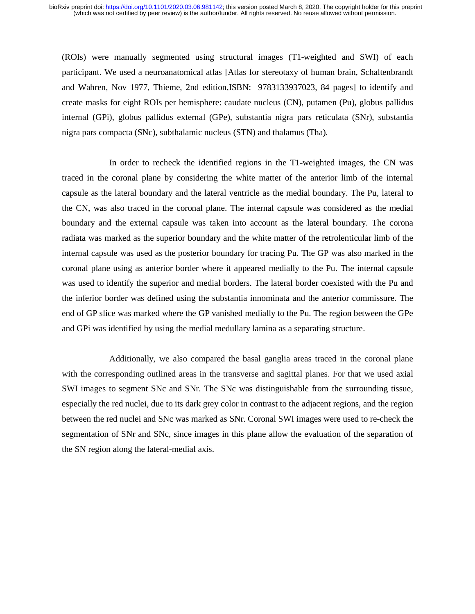(ROIs) were manually segmented using structural images (T1-weighted and SWI) of each participant. We used a neuroanatomical atlas [Atlas for stereotaxy of human brain, Schaltenbrandt and Wahren, Nov 1977, Thieme, 2nd edition,ISBN: 9783133937023, 84 pages] to identify and create masks for eight ROIs per hemisphere: caudate nucleus (CN), putamen (Pu), globus pallidus internal (GPi), globus pallidus external (GPe), substantia nigra pars reticulata (SNr), substantia nigra pars compacta (SNc), subthalamic nucleus (STN) and thalamus (Tha).

In order to recheck the identified regions in the T1-weighted images, the CN was traced in the coronal plane by considering the white matter of the anterior limb of the internal capsule as the lateral boundary and the lateral ventricle as the medial boundary. The Pu, lateral to the CN, was also traced in the coronal plane. The internal capsule was considered as the medial boundary and the external capsule was taken into account as the lateral boundary. The corona radiata was marked as the superior boundary and the white matter of the retrolenticular limb of the internal capsule was used as the posterior boundary for tracing Pu. The GP was also marked in the coronal plane using as anterior border where it appeared medially to the Pu. The internal capsule was used to identify the superior and medial borders. The lateral border coexisted with the Pu and the inferior border was defined using the substantia innominata and the anterior commissure. The end of GP slice was marked where the GP vanished medially to the Pu. The region between the GPe and GPi was identified by using the medial medullary lamina as a separating structure.

Additionally, we also compared the basal ganglia areas traced in the coronal plane with the corresponding outlined areas in the transverse and sagittal planes. For that we used axial SWI images to segment SNc and SNr. The SNc was distinguishable from the surrounding tissue, especially the red nuclei, due to its dark grey color in contrast to the adjacent regions, and the region between the red nuclei and SNc was marked as SNr. Coronal SWI images were used to re-check the segmentation of SNr and SNc, since images in this plane allow the evaluation of the separation of the SN region along the lateral-medial axis.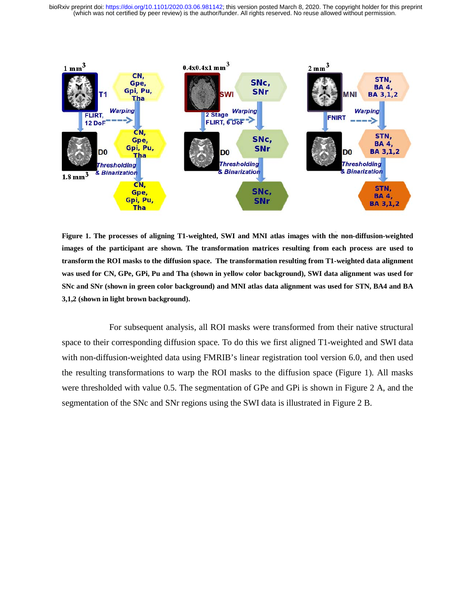(which was not certified by peer review) is the author/funder. All rights reserved. No reuse allowed without permission. bioRxiv preprint doi: [https://doi.org/10.1101/2020.03.06.981142;](https://doi.org/10.1101/2020.03.06.981142) this version posted March 8, 2020. The copyright holder for this preprint



**Figure 1. The processes of aligning T1-weighted, SWI and MNI atlas images with the non-diffusion-weighted images of the participant are shown. The transformation matrices resulting from each process are used to transform the ROI masks to the diffusion space. The transformation resulting from T1-weighted data alignment was used for CN, GPe, GPi, Pu and Tha (shown in yellow color background), SWI data alignment was used for SNc and SNr (shown in green color background) and MNI atlas data alignment was used for STN, BA4 and BA 3,1,2 (shown in light brown background).** 

For subsequent analysis, all ROI masks were transformed from their native structural space to their corresponding diffusion space. To do this we first aligned T1-weighted and SWI data with non-diffusion-weighted data using FMRIB's linear registration tool version 6.0, and then used the resulting transformations to warp the ROI masks to the diffusion space (Figure 1). All masks were thresholded with value 0.5. The segmentation of GPe and GPi is shown in Figure 2 A, and the segmentation of the SNc and SNr regions using the SWI data is illustrated in Figure 2 B.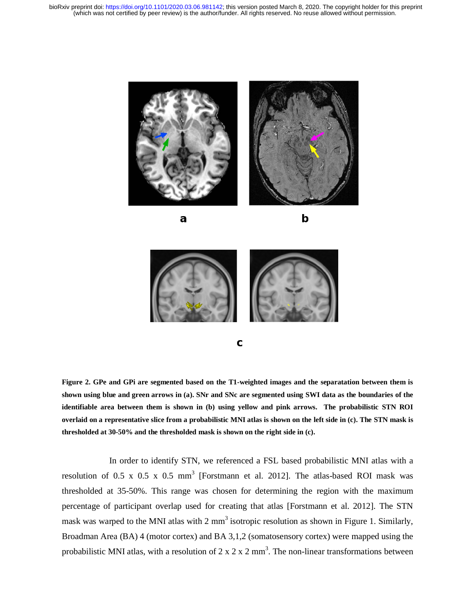









**Figure 2. GPe and GPi are segmented based on the T1-weighted images and the separatation between them is shown using blue and green arrows in (a). SNr and SNc are segmented using SWI data as the boundaries of the identifiable area between them is shown in (b) using yellow and pink arrows. The probabilistic STN ROI overlaid on a representative slice from a probabilistic MNI atlas is shown on the left side in (c). The STN mask is thresholded at 30-50% and the thresholded mask is shown on the right side in (c).** 

In order to identify STN, we referenced a FSL based probabilistic MNI atlas with a resolution of 0.5 x 0.5 x 0.5 mm<sup>3</sup> [Forstmann et al. 2012]. The atlas-based ROI mask was thresholded at 35-50%. This range was chosen for determining the region with the maximum percentage of participant overlap used for creating that atlas [Forstmann et al. 2012]. The STN mask was warped to the MNI atlas with 2 mm<sup>3</sup> isotropic resolution as shown in Figure 1. Similarly, Broadman Area (BA) 4 (motor cortex) and BA 3,1,2 (somatosensory cortex) were mapped using the probabilistic MNI atlas, with a resolution of 2 x 2 x 2 mm<sup>3</sup>. The non-linear transformations between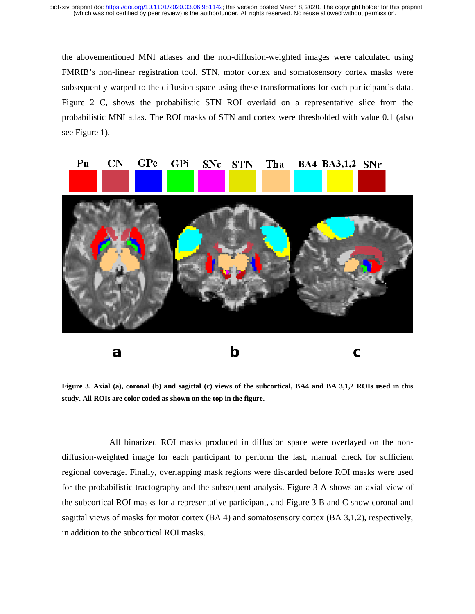the abovementioned MNI atlases and the non-diffusion-weighted images were calculated using FMRIB's non-linear registration tool. STN, motor cortex and somatosensory cortex masks were subsequently warped to the diffusion space using these transformations for each participant's data. Figure 2 C, shows the probabilistic STN ROI overlaid on a representative slice from the probabilistic MNI atlas. The ROI masks of STN and cortex were thresholded with value 0.1 (also see Figure 1).



**Figure 3. Axial (a), coronal (b) and sagittal (c) views of the subcortical, BA4 and BA 3,1,2 ROIs used in this study. All ROIs are color coded as shown on the top in the figure.** 

All binarized ROI masks produced in diffusion space were overlayed on the nondiffusion-weighted image for each participant to perform the last, manual check for sufficient regional coverage. Finally, overlapping mask regions were discarded before ROI masks were used for the probabilistic tractography and the subsequent analysis. Figure 3 A shows an axial view of the subcortical ROI masks for a representative participant, and Figure 3 B and C show coronal and sagittal views of masks for motor cortex (BA 4) and somatosensory cortex (BA 3,1,2), respectively, in addition to the subcortical ROI masks.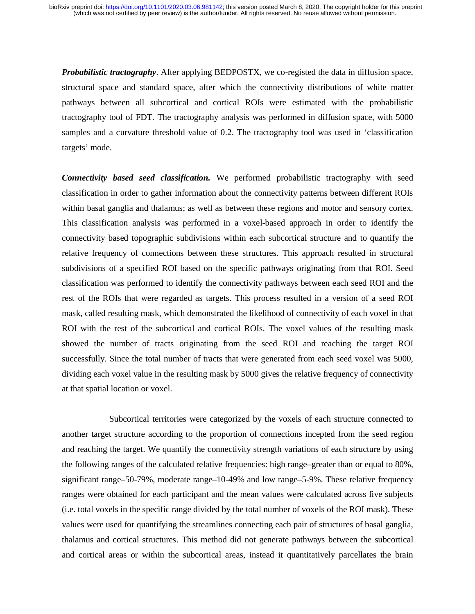*Probabilistic tractography*. After applying BEDPOSTX, we co-registed the data in diffusion space, structural space and standard space, after which the connectivity distributions of white matter pathways between all subcortical and cortical ROIs were estimated with the probabilistic tractography tool of FDT. The tractography analysis was performed in diffusion space, with 5000 samples and a curvature threshold value of 0.2. The tractography tool was used in 'classification targets' mode.

*Connectivity based seed classification.* We performed probabilistic tractography with seed classification in order to gather information about the connectivity patterns between different ROIs within basal ganglia and thalamus; as well as between these regions and motor and sensory cortex. This classification analysis was performed in a voxel-based approach in order to identify the connectivity based topographic subdivisions within each subcortical structure and to quantify the relative frequency of connections between these structures. This approach resulted in structural subdivisions of a specified ROI based on the specific pathways originating from that ROI. Seed classification was performed to identify the connectivity pathways between each seed ROI and the rest of the ROIs that were regarded as targets. This process resulted in a version of a seed ROI mask, called resulting mask, which demonstrated the likelihood of connectivity of each voxel in that ROI with the rest of the subcortical and cortical ROIs. The voxel values of the resulting mask showed the number of tracts originating from the seed ROI and reaching the target ROI successfully. Since the total number of tracts that were generated from each seed voxel was 5000, dividing each voxel value in the resulting mask by 5000 gives the relative frequency of connectivity at that spatial location or voxel.

Subcortical territories were categorized by the voxels of each structure connected to another target structure according to the proportion of connections incepted from the seed region and reaching the target. We quantify the connectivity strength variations of each structure by using the following ranges of the calculated relative frequencies: high range–greater than or equal to 80%, significant range–50-79%, moderate range–10-49% and low range–5-9%. These relative frequency ranges were obtained for each participant and the mean values were calculated across five subjects (i.e. total voxels in the specific range divided by the total number of voxels of the ROI mask). These values were used for quantifying the streamlines connecting each pair of structures of basal ganglia, thalamus and cortical structures. This method did not generate pathways between the subcortical and cortical areas or within the subcortical areas, instead it quantitatively parcellates the brain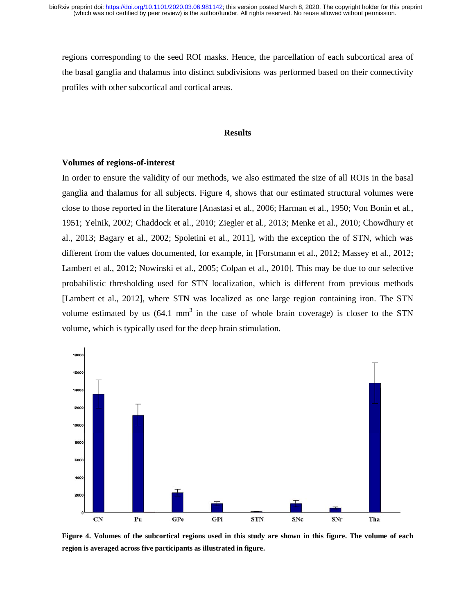regions corresponding to the seed ROI masks. Hence, the parcellation of each subcortical area of the basal ganglia and thalamus into distinct subdivisions was performed based on their connectivity profiles with other subcortical and cortical areas.

### **Results**

### **Volumes of regions-of-interest**

In order to ensure the validity of our methods, we also estimated the size of all ROIs in the basal ganglia and thalamus for all subjects. Figure 4, shows that our estimated structural volumes were close to those reported in the literature [Anastasi et al., 2006; Harman et al., 1950; Von Bonin et al., 1951; Yelnik, 2002; Chaddock et al., 2010; Ziegler et al., 2013; Menke et al., 2010; Chowdhury et al., 2013; Bagary et al., 2002; Spoletini et al., 2011], with the exception the of STN, which was different from the values documented, for example, in [Forstmann et al., 2012; Massey et al., 2012; Lambert et al., 2012; Nowinski et al., 2005; Colpan et al., 2010]. This may be due to our selective probabilistic thresholding used for STN localization, which is different from previous methods [Lambert et al., 2012], where STN was localized as one large region containing iron. The STN volume estimated by us  $(64.1 \text{ mm}^3)$  in the case of whole brain coverage) is closer to the STN volume, which is typically used for the deep brain stimulation. ity<br>sal ere<br>al., et<br>l2; ve<br>ods N N N



**Figure 4. Volumes of the subcortical regions used in this study are shown in this figure. The volume of each region is averaged across five participants as illustrated in figure.**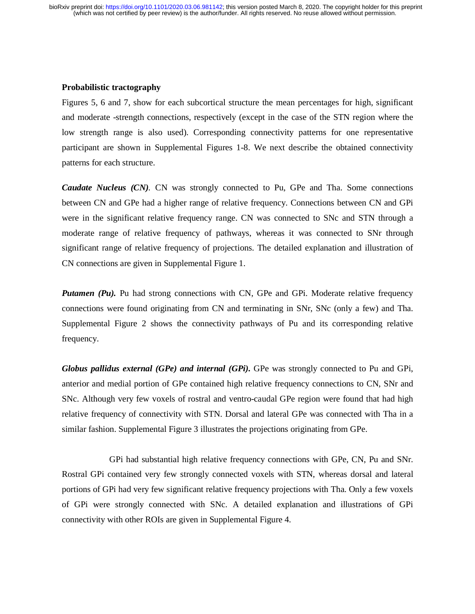## **Probabilistic tractography**

Figures 5, 6 and 7, show for each subcortical structure the mean percentages for high, significant and moderate -strength connections, respectively (except in the case of the STN region where the low strength range is also used). Corresponding connectivity patterns for one representative participant are shown in Supplemental Figures 1-8. We next describe the obtained connectivity patterns for each structure.

*Caudate Nucleus (CN).* CN was strongly connected to Pu, GPe and Tha. Some connections between CN and GPe had a higher range of relative frequency. Connections between CN and GPi were in the significant relative frequency range. CN was connected to SNc and STN through a moderate range of relative frequency of pathways, whereas it was connected to SNr through significant range of relative frequency of projections. The detailed explanation and illustration of CN connections are given in Supplemental Figure 1.

*Putamen (Pu)*. Pu had strong connections with CN, GPe and GPi. Moderate relative frequency connections were found originating from CN and terminating in SNr, SNc (only a few) and Tha. Supplemental Figure 2 shows the connectivity pathways of Pu and its corresponding relative frequency.

*Globus pallidus external (GPe) and internal (GPi).* GPe was strongly connected to Pu and GPi, anterior and medial portion of GPe contained high relative frequency connections to CN, SNr and SNc. Although very few voxels of rostral and ventro-caudal GPe region were found that had high relative frequency of connectivity with STN. Dorsal and lateral GPe was connected with Tha in a similar fashion. Supplemental Figure 3 illustrates the projections originating from GPe.

GPi had substantial high relative frequency connections with GPe, CN, Pu and SNr. Rostral GPi contained very few strongly connected voxels with STN, whereas dorsal and lateral portions of GPi had very few significant relative frequency projections with Tha. Only a few voxels of GPi were strongly connected with SNc. A detailed explanation and illustrations of GPi connectivity with other ROIs are given in Supplemental Figure 4.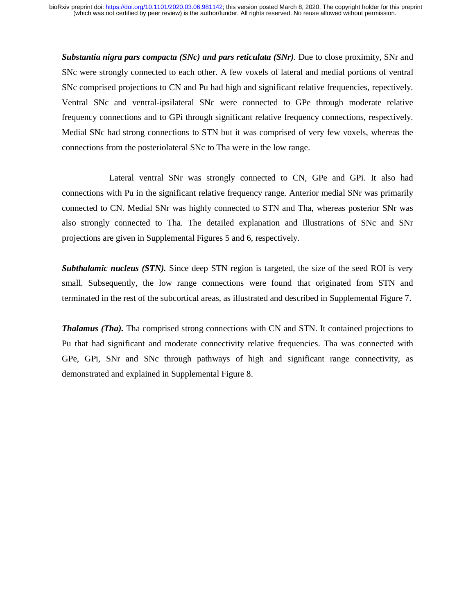*Substantia nigra pars compacta (SNc) and pars reticulata (SNr).* Due to close proximity, SNr and SNc were strongly connected to each other. A few voxels of lateral and medial portions of ventral SNc comprised projections to CN and Pu had high and significant relative frequencies, repectively. Ventral SNc and ventral-ipsilateral SNc were connected to GPe through moderate relative frequency connections and to GPi through significant relative frequency connections, respectively. Medial SNc had strong connections to STN but it was comprised of very few voxels, whereas the connections from the posteriolateral SNc to Tha were in the low range.

 Lateral ventral SNr was strongly connected to CN, GPe and GPi. It also had connections with Pu in the significant relative frequency range. Anterior medial SNr was primarily connected to CN. Medial SNr was highly connected to STN and Tha, whereas posterior SNr was also strongly connected to Tha. The detailed explanation and illustrations of SNc and SNr projections are given in Supplemental Figures 5 and 6, respectively.

**Subthalamic nucleus (STN).** Since deep STN region is targeted, the size of the seed ROI is very small. Subsequently, the low range connections were found that originated from STN and terminated in the rest of the subcortical areas, as illustrated and described in Supplemental Figure 7.

*Thalamus (Tha).* Tha comprised strong connections with CN and STN. It contained projections to Pu that had significant and moderate connectivity relative frequencies. Tha was connected with GPe, GPi, SNr and SNc through pathways of high and significant range connectivity, as demonstrated and explained in Supplemental Figure 8.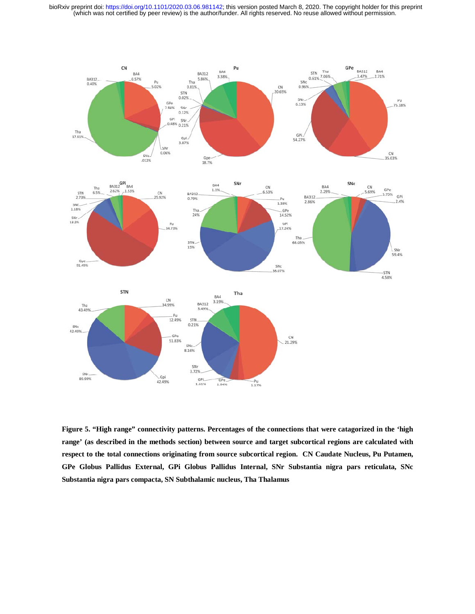(which was not certified by peer review) is the author/funder. All rights reserved. No reuse allowed without permission. bioRxiv preprint doi: [https://doi.org/10.1101/2020.03.06.981142;](https://doi.org/10.1101/2020.03.06.981142) this version posted March 8, 2020. The copyright holder for this preprint



**Figure 5. "High range" connectivity patterns. Percentages of the connections that were catagorized in the 'high range' (as described in the methods section) between source and target subcortical regions are calculated with respect to the total connections originating from source subcortical region. CN Caudate Nucleus, Pu Putamen, GPe Globus Pallidus External, GPi Globus Pallidus Internal, SNr Substantia nigra pars reticulata, SNc Substantia nigra pars compacta, SN Subthalamic nucleus, Tha Thalamus**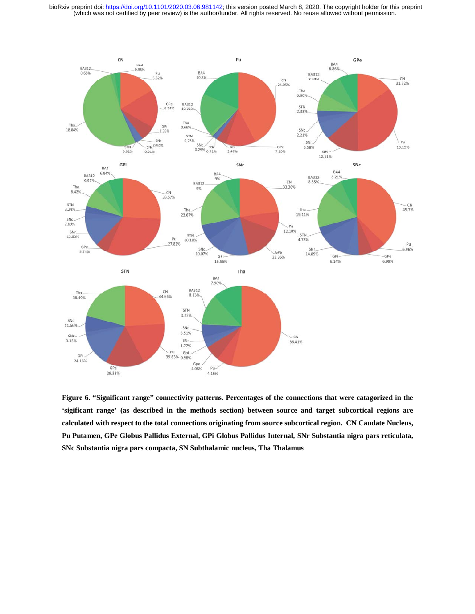(which was not certified by peer review) is the author/funder. All rights reserved. No reuse allowed without permission. bioRxiv preprint doi: [https://doi.org/10.1101/2020.03.06.981142;](https://doi.org/10.1101/2020.03.06.981142) this version posted March 8, 2020. The copyright holder for this preprint



**Figure 6. "Significant range" connectivity patterns. Percentages of the connections that were catagorized in the 'sigificant range' (as described in the methods section) between source and target subcortical regions are calculated with respect to the total connections originating from source subcortical region. CN Caudate Nucleus, Pu Putamen, GPe Globus Pallidus External, GPi Globus Pallidus Internal, SNr Substantia nigra pars reticulata, SNc Substantia nigra pars compacta, SN Subthalamic nucleus, Tha Thalamus**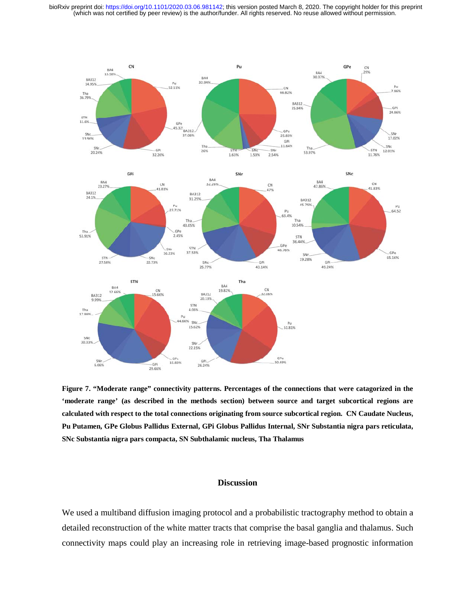bioRxiv preprint doi: [https://doi.org/10.1101/2020.03.06.981142;](https://doi.org/10.1101/2020.03.06.981142) this version posted March 8, 2020. The copyright holder for this preprint (which was not certified by peer review) is the author/funder. All rights reserved.



**Figure 7. "Moderate range" connectivity patterns. Percentages of the connections that were catagorized in the 'moderate range' (as described in the methods section) between source and target subcortical regions are calculated with respect to the total connections originating from source subcortical region. CN Caudate Nucleus,**  Figure 7. "Moderate range" connectivity patterns. Percentages of the connections that were catagorized in the<br>"moderate range" (as described in the methods section) between source and target subcortical regions are<br>calcula **SNc Substantia nigra pars compacta, SN Subthalamic nucleus, Tha Thalamus** 

## **Discussion**

We used a multiband diffusion imaging protocol and a probabilistic tractography method to obtain a detailed reconstruction of the white matter tracts that comprise the basal ganglia and thalamus. Such connectivity maps could play an increasing role in retrieving image-based prognostic information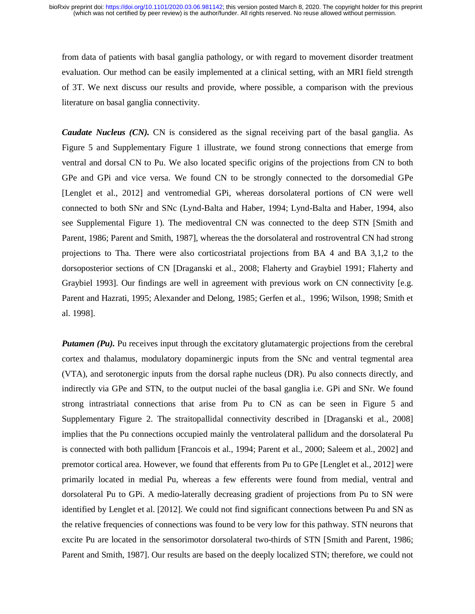from data of patients with basal ganglia pathology, or with regard to movement disorder treatment evaluation. Our method can be easily implemented at a clinical setting, with an MRI field strength of 3T. We next discuss our results and provide, where possible, a comparison with the previous literature on basal ganglia connectivity.

*Caudate Nucleus (CN).* CN is considered as the signal receiving part of the basal ganglia. As Figure 5 and Supplementary Figure 1 illustrate, we found strong connections that emerge from ventral and dorsal CN to Pu. We also located specific origins of the projections from CN to both GPe and GPi and vice versa. We found CN to be strongly connected to the dorsomedial GPe [Lenglet et al., 2012] and ventromedial GPi, whereas dorsolateral portions of CN were well connected to both SNr and SNc (Lynd-Balta and Haber, 1994; Lynd-Balta and Haber, 1994, also see Supplemental Figure 1). The medioventral CN was connected to the deep STN [Smith and Parent, 1986; Parent and Smith, 1987], whereas the the dorsolateral and rostroventral CN had strong projections to Tha. There were also corticostriatal projections from BA 4 and BA 3,1,2 to the dorsoposterior sections of CN [Draganski et al., 2008; Flaherty and Graybiel 1991; Flaherty and Graybiel 1993]. Our findings are well in agreement with previous work on CN connectivity [e.g. Parent and Hazrati, 1995; Alexander and Delong, 1985; Gerfen et al., 1996; Wilson, 1998; Smith et al. 1998].

*Putamen (Pu).* Pu receives input through the excitatory glutamatergic projections from the cerebral cortex and thalamus, modulatory dopaminergic inputs from the SNc and ventral tegmental area (VTA), and serotonergic inputs from the dorsal raphe nucleus (DR). Pu also connects directly, and indirectly via GPe and STN, to the output nuclei of the basal ganglia i.e. GPi and SNr. We found strong intrastriatal connections that arise from Pu to CN as can be seen in Figure 5 and Supplementary Figure 2. The straitopallidal connectivity described in [Draganski et al., 2008] implies that the Pu connections occupied mainly the ventrolateral pallidum and the dorsolateral Pu is connected with both pallidum [Francois et al., 1994; Parent et al., 2000; Saleem et al., 2002] and premotor cortical area. However, we found that efferents from Pu to GPe [Lenglet et al., 2012] were primarily located in medial Pu, whereas a few efferents were found from medial, ventral and dorsolateral Pu to GPi. A medio-laterally decreasing gradient of projections from Pu to SN were identified by Lenglet et al. [2012]. We could not find significant connections between Pu and SN as the relative frequencies of connections was found to be very low for this pathway. STN neurons that excite Pu are located in the sensorimotor dorsolateral two-thirds of STN [Smith and Parent, 1986; Parent and Smith, 1987]. Our results are based on the deeply localized STN; therefore, we could not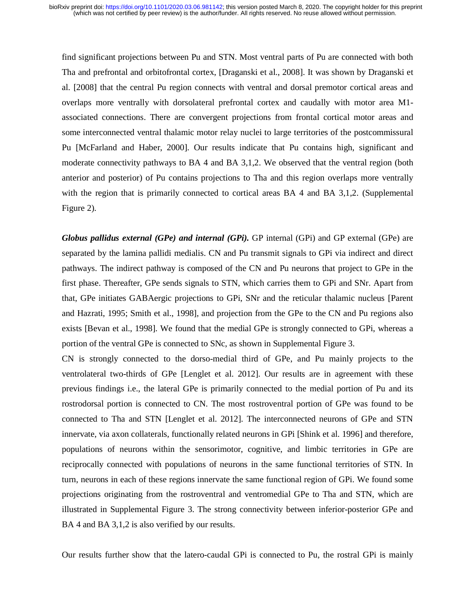find significant projections between Pu and STN. Most ventral parts of Pu are connected with both Tha and prefrontal and orbitofrontal cortex, [Draganski et al., 2008]. It was shown by Draganski et al. [2008] that the central Pu region connects with ventral and dorsal premotor cortical areas and overlaps more ventrally with dorsolateral prefrontal cortex and caudally with motor area M1 associated connections. There are convergent projections from frontal cortical motor areas and some interconnected ventral thalamic motor relay nuclei to large territories of the postcommissural Pu [McFarland and Haber, 2000]. Our results indicate that Pu contains high, significant and moderate connectivity pathways to BA 4 and BA 3,1,2. We observed that the ventral region (both anterior and posterior) of Pu contains projections to Tha and this region overlaps more ventrally with the region that is primarily connected to cortical areas BA 4 and BA 3,1,2. (Supplemental Figure 2).

*Globus pallidus external (GPe) and internal (GPi).* GP internal (GPi) and GP external (GPe) are separated by the lamina pallidi medialis. CN and Pu transmit signals to GPi via indirect and direct pathways. The indirect pathway is composed of the CN and Pu neurons that project to GPe in the first phase. Thereafter, GPe sends signals to STN, which carries them to GPi and SNr. Apart from that, GPe initiates GABAergic projections to GPi, SNr and the reticular thalamic nucleus [Parent and Hazrati, 1995; Smith et al., 1998], and projection from the GPe to the CN and Pu regions also exists [Bevan et al., 1998]. We found that the medial GPe is strongly connected to GPi, whereas a portion of the ventral GPe is connected to SNc, as shown in Supplemental Figure 3.

CN is strongly connected to the dorso-medial third of GPe, and Pu mainly projects to the ventrolateral two-thirds of GPe [Lenglet et al. 2012]. Our results are in agreement with these previous findings i.e., the lateral GPe is primarily connected to the medial portion of Pu and its rostrodorsal portion is connected to CN. The most rostroventral portion of GPe was found to be connected to Tha and STN [Lenglet et al. 2012]. The interconnected neurons of GPe and STN innervate, via axon collaterals, functionally related neurons in GPi [Shink et al. 1996] and therefore, populations of neurons within the sensorimotor, cognitive, and limbic territories in GPe are reciprocally connected with populations of neurons in the same functional territories of STN. In turn, neurons in each of these regions innervate the same functional region of GPi. We found some projections originating from the rostroventral and ventromedial GPe to Tha and STN, which are illustrated in Supplemental Figure 3. The strong connectivity between inferior-posterior GPe and BA 4 and BA 3,1,2 is also verified by our results.

Our results further show that the latero-caudal GPi is connected to Pu, the rostral GPi is mainly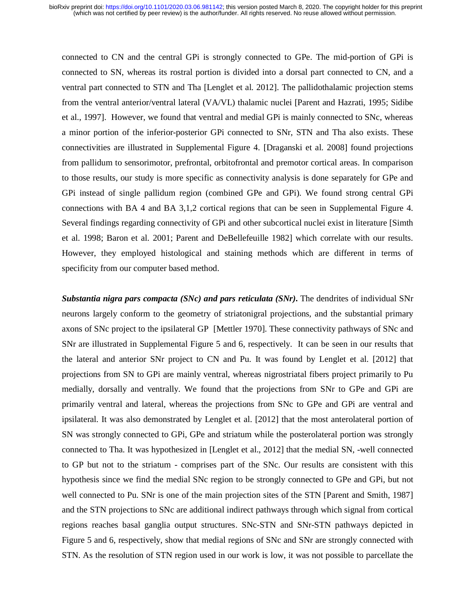connected to CN and the central GPi is strongly connected to GPe. The mid-portion of GPi is connected to SN, whereas its rostral portion is divided into a dorsal part connected to CN, and a ventral part connected to STN and Tha [Lenglet et al. 2012]. The pallidothalamic projection stems from the ventral anterior/ventral lateral (VA/VL) thalamic nuclei [Parent and Hazrati, 1995; Sidibe et al., 1997]. However, we found that ventral and medial GPi is mainly connected to SNc, whereas a minor portion of the inferior-posterior GPi connected to SNr, STN and Tha also exists. These connectivities are illustrated in Supplemental Figure 4. [Draganski et al. 2008] found projections from pallidum to sensorimotor, prefrontal, orbitofrontal and premotor cortical areas. In comparison to those results, our study is more specific as connectivity analysis is done separately for GPe and GPi instead of single pallidum region (combined GPe and GPi). We found strong central GPi connections with BA 4 and BA 3,1,2 cortical regions that can be seen in Supplemental Figure 4. Several findings regarding connectivity of GPi and other subcortical nuclei exist in literature [Simth et al. 1998; Baron et al. 2001; Parent and DeBellefeuille 1982] which correlate with our results. However, they employed histological and staining methods which are different in terms of specificity from our computer based method.

*Substantia nigra pars compacta (SNc) and pars reticulata (SNr)*. The dendrites of individual SNr neurons largely conform to the geometry of striatonigral projections, and the substantial primary axons of SNc project to the ipsilateral GP [Mettler 1970]. These connectivity pathways of SNc and SNr are illustrated in Supplemental Figure 5 and 6, respectively. It can be seen in our results that the lateral and anterior SNr project to CN and Pu. It was found by Lenglet et al. [2012] that projections from SN to GPi are mainly ventral, whereas nigrostriatal fibers project primarily to Pu medially, dorsally and ventrally. We found that the projections from SNr to GPe and GPi are primarily ventral and lateral, whereas the projections from SNc to GPe and GPi are ventral and ipsilateral. It was also demonstrated by Lenglet et al. [2012] that the most anterolateral portion of SN was strongly connected to GPi, GPe and striatum while the posterolateral portion was strongly connected to Tha. It was hypothesized in [Lenglet et al., 2012] that the medial SN, -well connected to GP but not to the striatum - comprises part of the SNc. Our results are consistent with this hypothesis since we find the medial SNc region to be strongly connected to GPe and GPi, but not well connected to Pu. SNr is one of the main projection sites of the STN [Parent and Smith, 1987] and the STN projections to SNc are additional indirect pathways through which signal from cortical regions reaches basal ganglia output structures. SNc-STN and SNr-STN pathways depicted in Figure 5 and 6, respectively, show that medial regions of SNc and SNr are strongly connected with STN. As the resolution of STN region used in our work is low, it was not possible to parcellate the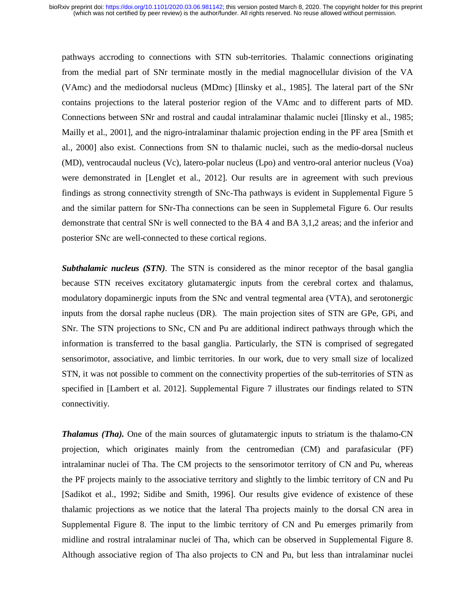pathways accroding to connections with STN sub-territories. Thalamic connections originating from the medial part of SNr terminate mostly in the medial magnocellular division of the VA (VAmc) and the mediodorsal nucleus (MDmc) [Ilinsky et al., 1985]. The lateral part of the SNr contains projections to the lateral posterior region of the VAmc and to different parts of MD. Connections between SNr and rostral and caudal intralaminar thalamic nuclei [Ilinsky et al., 1985; Mailly et al., 2001], and the nigro-intralaminar thalamic projection ending in the PF area [Smith et al., 2000] also exist. Connections from SN to thalamic nuclei, such as the medio-dorsal nucleus (MD), ventrocaudal nucleus (Vc), latero-polar nucleus (Lpo) and ventro-oral anterior nucleus (Voa) were demonstrated in [Lenglet et al., 2012]. Our results are in agreement with such previous findings as strong connectivity strength of SNc-Tha pathways is evident in Supplemental Figure 5 and the similar pattern for SNr-Tha connections can be seen in Supplemetal Figure 6. Our results demonstrate that central SNr is well connected to the BA 4 and BA 3,1,2 areas; and the inferior and posterior SNc are well-connected to these cortical regions.

*Subthalamic nucleus (STN).* The STN is considered as the minor receptor of the basal ganglia because STN receives excitatory glutamatergic inputs from the cerebral cortex and thalamus, modulatory dopaminergic inputs from the SNc and ventral tegmental area (VTA), and serotonergic inputs from the dorsal raphe nucleus (DR). The main projection sites of STN are GPe, GPi, and SNr. The STN projections to SNc, CN and Pu are additional indirect pathways through which the information is transferred to the basal ganglia. Particularly, the STN is comprised of segregated sensorimotor, associative, and limbic territories. In our work, due to very small size of localized STN, it was not possible to comment on the connectivity properties of the sub-territories of STN as specified in [Lambert et al. 2012]. Supplemental Figure 7 illustrates our findings related to STN connectivitiy.

*Thalamus (Tha).* One of the main sources of glutamatergic inputs to striatum is the thalamo-CN projection, which originates mainly from the centromedian (CM) and parafasicular (PF) intralaminar nuclei of Tha. The CM projects to the sensorimotor territory of CN and Pu, whereas the PF projects mainly to the associative territory and slightly to the limbic territory of CN and Pu [Sadikot et al., 1992; Sidibe and Smith, 1996]. Our results give evidence of existence of these thalamic projections as we notice that the lateral Tha projects mainly to the dorsal CN area in Supplemental Figure 8. The input to the limbic territory of CN and Pu emerges primarily from midline and rostral intralaminar nuclei of Tha, which can be observed in Supplemental Figure 8. Although associative region of Tha also projects to CN and Pu, but less than intralaminar nuclei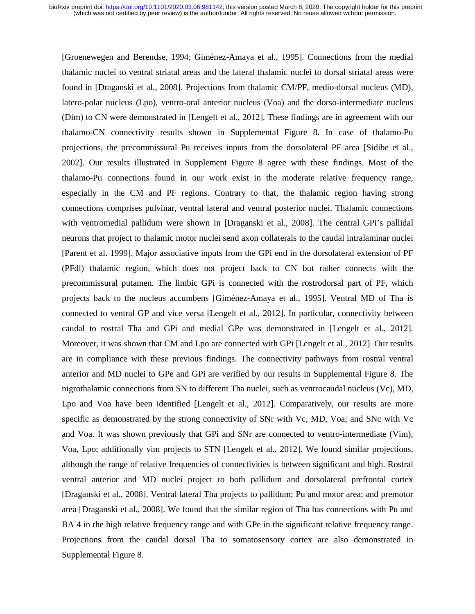[Groenewegen and Berendse, 1994; Giménez-Amaya et al., 1995]. Connections from the medial thalamic nuclei to ventral striatal areas and the lateral thalamic nuclei to dorsal striatal areas were found in [Draganski et al., 2008]. Projections from thalamic CM/PF, medio-dorsal nucleus (MD), latero-polar nucleus (Lpo), ventro-oral anterior nucleus (Voa) and the dorso-intermediate nucleus (Dim) to CN were demonstrated in [Lengelt et al., 2012]. These findings are in agreement with our thalamo-CN connectivity results shown in Supplemental Figure 8. In case of thalamo-Pu projections, the precommissural Pu receives inputs from the dorsolateral PF area [Sidibe et al., 2002]. Our results illustrated in Supplement Figure 8 agree with these findings. Most of the thalamo-Pu connections found in our work exist in the moderate relative frequency range, especially in the CM and PF regions. Contrary to that, the thalamic region having strong connections comprises pulvinar, ventral lateral and ventral posterior nuclei. Thalamic connections with ventromedial pallidum were shown in [Draganski et al., 2008]. The central GPi's pallidal neurons that project to thalamic motor nuclei send axon collaterals to the caudal intralaminar nuclei [Parent et al. 1999]. Major associative inputs from the GPi end in the dorsolateral extension of PF (PFdl) thalamic region, which does not project back to CN but rather connects with the precommissural putamen. The limbic GPi is connected with the rostrodorsal part of PF, which projects back to the nucleus accumbens [Giménez-Amaya et al., 1995]. Ventral MD of Tha is connected to ventral GP and vice versa [Lengelt et al., 2012]. In particular, connectivity between caudal to rostral Tha and GPi and medial GPe was demonstrated in [Lengelt et al., 2012]. Moreover, it was shown that CM and Lpo are connected with GPi [Lengelt et al., 2012]. Our results are in compliance with these previous findings. The connectivity pathways from rostral ventral anterior and MD nuclei to GPe and GPi are verified by our results in Supplemental Figure 8. The nigrothalamic connections from SN to different Tha nuclei, such as ventrocaudal nucleus (Vc), MD, Lpo and Voa have been identified [Lengelt et al., 2012]. Comparatively, our results are more specific as demonstrated by the strong connectivity of SNr with Vc, MD, Voa; and SNc with Vc and Voa. It was shown previously that GPi and SNr are connected to ventro-intermediate (Vim), Voa, Lpo; additionally vim projects to STN [Lengelt et al., 2012]. We found similar projections, although the range of relative frequencies of connectivities is between significant and high. Rostral ventral anterior and MD nuclei project to both pallidum and dorsolateral prefrontal cortex [Draganski et al., 2008]. Ventral lateral Tha projects to pallidum; Pu and motor area; and premotor area [Draganski et al., 2008]. We found that the similar region of Tha has connections with Pu and BA 4 in the high relative frequency range and with GPe in the significant relative frequency range. Projections from the caudal dorsal Tha to somatosensory cortex are also demonstrated in Supplemental Figure 8.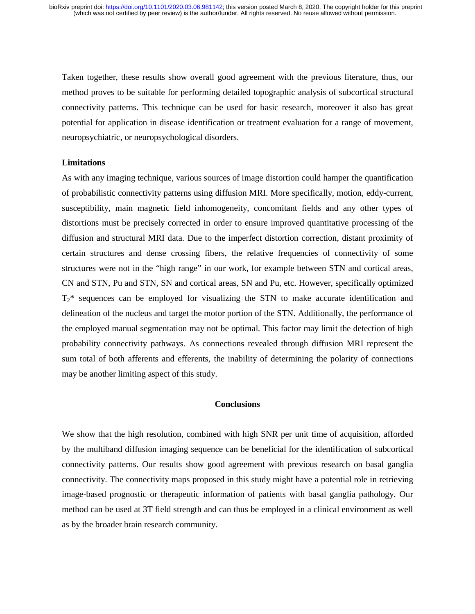Taken together, these results show overall good agreement with the previous literature, thus, our method proves to be suitable for performing detailed topographic analysis of subcortical structural connectivity patterns. This technique can be used for basic research, moreover it also has great potential for application in disease identification or treatment evaluation for a range of movement, neuropsychiatric, or neuropsychological disorders.

## **Limitations**

As with any imaging technique, various sources of image distortion could hamper the quantification of probabilistic connectivity patterns using diffusion MRI. More specifically, motion, eddy-current, susceptibility, main magnetic field inhomogeneity, concomitant fields and any other types of distortions must be precisely corrected in order to ensure improved quantitative processing of the diffusion and structural MRI data. Due to the imperfect distortion correction, distant proximity of certain structures and dense crossing fibers, the relative frequencies of connectivity of some structures were not in the "high range" in our work, for example between STN and cortical areas, CN and STN, Pu and STN, SN and cortical areas, SN and Pu, etc. However, specifically optimized  $T_2^*$  sequences can be employed for visualizing the STN to make accurate identification and delineation of the nucleus and target the motor portion of the STN. Additionally, the performance of the employed manual segmentation may not be optimal. This factor may limit the detection of high probability connectivity pathways. As connections revealed through diffusion MRI represent the sum total of both afferents and efferents, the inability of determining the polarity of connections may be another limiting aspect of this study.

## **Conclusions**

We show that the high resolution, combined with high SNR per unit time of acquisition, afforded by the multiband diffusion imaging sequence can be beneficial for the identification of subcortical connectivity patterns. Our results show good agreement with previous research on basal ganglia connectivity. The connectivity maps proposed in this study might have a potential role in retrieving image-based prognostic or therapeutic information of patients with basal ganglia pathology. Our method can be used at 3T field strength and can thus be employed in a clinical environment as well as by the broader brain research community.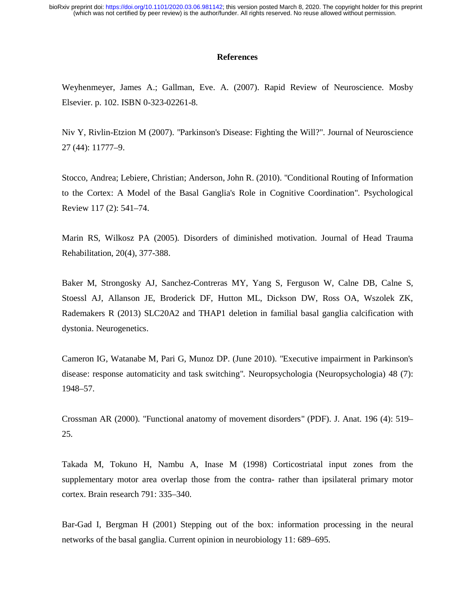## **References**

Weyhenmeyer, James A.; Gallman, Eve. A. (2007). Rapid Review of Neuroscience. Mosby Elsevier. p. 102. ISBN 0-323-02261-8.

Niv Y, Rivlin-Etzion M (2007). "Parkinson's Disease: Fighting the Will?". Journal of Neuroscience 27 (44): 11777–9.

Stocco, Andrea; Lebiere, Christian; Anderson, John R. (2010). "Conditional Routing of Information to the Cortex: A Model of the Basal Ganglia's Role in Cognitive Coordination". Psychological Review 117 (2): 541–74.

Marin RS, Wilkosz PA (2005). Disorders of diminished motivation. Journal of Head Trauma Rehabilitation, 20(4), 377-388.

Baker M, Strongosky AJ, Sanchez-Contreras MY, Yang S, Ferguson W, Calne DB, Calne S, Stoessl AJ, Allanson JE, Broderick DF, Hutton ML, Dickson DW, Ross OA, Wszolek ZK, Rademakers R (2013) SLC20A2 and THAP1 deletion in familial basal ganglia calcification with dystonia. Neurogenetics.

Cameron IG, Watanabe M, Pari G, Munoz DP. (June 2010). "Executive impairment in Parkinson's disease: response automaticity and task switching". Neuropsychologia (Neuropsychologia) 48 (7): 1948–57.

Crossman AR (2000). "Functional anatomy of movement disorders" (PDF). J. Anat. 196 (4): 519– 25.

Takada M, Tokuno H, Nambu A, Inase M (1998) Corticostriatal input zones from the supplementary motor area overlap those from the contra- rather than ipsilateral primary motor cortex. Brain research 791: 335–340.

Bar-Gad I, Bergman H (2001) Stepping out of the box: information processing in the neural networks of the basal ganglia. Current opinion in neurobiology 11: 689–695.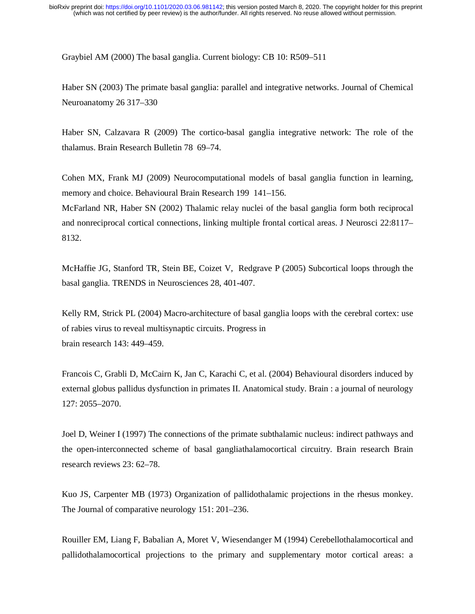Graybiel AM (2000) The basal ganglia. Current biology: CB 10: R509–511

Haber SN (2003) The primate basal ganglia: parallel and integrative networks. Journal of Chemical Neuroanatomy 26 317–330

Haber SN, Calzavara R (2009) The cortico-basal ganglia integrative network: The role of the thalamus. Brain Research Bulletin 78 69–74.

Cohen MX, Frank MJ (2009) Neurocomputational models of basal ganglia function in learning, memory and choice. Behavioural Brain Research 199 141–156.

McFarland NR, Haber SN (2002) Thalamic relay nuclei of the basal ganglia form both reciprocal and nonreciprocal cortical connections, linking multiple frontal cortical areas. J Neurosci 22:8117– 8132.

McHaffie JG, Stanford TR, Stein BE, Coizet V, Redgrave P (2005) Subcortical loops through the basal ganglia. TRENDS in Neurosciences 28, 401-407.

Kelly RM, Strick PL (2004) Macro-architecture of basal ganglia loops with the cerebral cortex: use of rabies virus to reveal multisynaptic circuits. Progress in brain research 143: 449–459.

Francois C, Grabli D, McCairn K, Jan C, Karachi C, et al. (2004) Behavioural disorders induced by external globus pallidus dysfunction in primates II. Anatomical study. Brain : a journal of neurology 127: 2055–2070.

Joel D, Weiner I (1997) The connections of the primate subthalamic nucleus: indirect pathways and the open-interconnected scheme of basal gangliathalamocortical circuitry. Brain research Brain research reviews 23: 62–78.

Kuo JS, Carpenter MB (1973) Organization of pallidothalamic projections in the rhesus monkey. The Journal of comparative neurology 151: 201–236.

Rouiller EM, Liang F, Babalian A, Moret V, Wiesendanger M (1994) Cerebellothalamocortical and pallidothalamocortical projections to the primary and supplementary motor cortical areas: a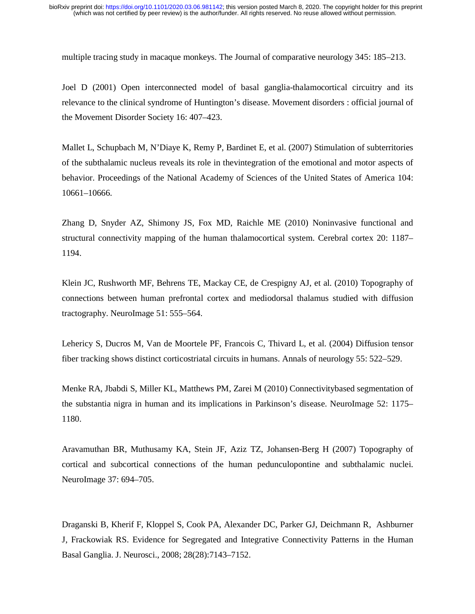multiple tracing study in macaque monkeys. The Journal of comparative neurology 345: 185–213.

Joel D (2001) Open interconnected model of basal ganglia-thalamocortical circuitry and its relevance to the clinical syndrome of Huntington's disease. Movement disorders : official journal of the Movement Disorder Society 16: 407–423.

Mallet L, Schupbach M, N'Diaye K, Remy P, Bardinet E, et al. (2007) Stimulation of subterritories of the subthalamic nucleus reveals its role in thevintegration of the emotional and motor aspects of behavior. Proceedings of the National Academy of Sciences of the United States of America 104: 10661–10666.

Zhang D, Snyder AZ, Shimony JS, Fox MD, Raichle ME (2010) Noninvasive functional and structural connectivity mapping of the human thalamocortical system. Cerebral cortex 20: 1187– 1194.

Klein JC, Rushworth MF, Behrens TE, Mackay CE, de Crespigny AJ, et al. (2010) Topography of connections between human prefrontal cortex and mediodorsal thalamus studied with diffusion tractography. NeuroImage 51: 555–564.

Lehericy S, Ducros M, Van de Moortele PF, Francois C, Thivard L, et al. (2004) Diffusion tensor fiber tracking shows distinct corticostriatal circuits in humans. Annals of neurology 55: 522–529.

Menke RA, Jbabdi S, Miller KL, Matthews PM, Zarei M (2010) Connectivitybased segmentation of the substantia nigra in human and its implications in Parkinson's disease. NeuroImage 52: 1175– 1180.

Aravamuthan BR, Muthusamy KA, Stein JF, Aziz TZ, Johansen-Berg H (2007) Topography of cortical and subcortical connections of the human pedunculopontine and subthalamic nuclei. NeuroImage 37: 694–705.

Draganski B, Kherif F, Kloppel S, Cook PA, Alexander DC, Parker GJ, Deichmann R, Ashburner J, Frackowiak RS. Evidence for Segregated and Integrative Connectivity Patterns in the Human Basal Ganglia. J. Neurosci., 2008; 28(28):7143–7152.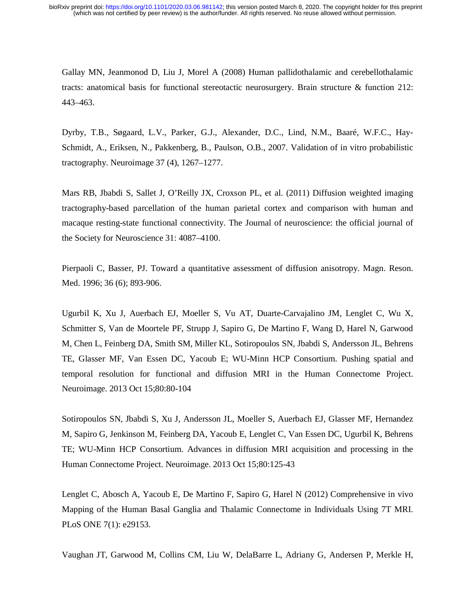Gallay MN, Jeanmonod D, Liu J, Morel A (2008) Human pallidothalamic and cerebellothalamic tracts: anatomical basis for functional stereotactic neurosurgery. Brain structure & function 212: 443–463.

Dyrby, T.B., Søgaard, L.V., Parker, G.J., Alexander, D.C., Lind, N.M., Baaré, W.F.C., Hay-Schmidt, A., Eriksen, N., Pakkenberg, B., Paulson, O.B., 2007. Validation of in vitro probabilistic tractography. Neuroimage 37 (4), 1267–1277.

Mars RB, Jbabdi S, Sallet J, O'Reilly JX, Croxson PL, et al. (2011) Diffusion weighted imaging tractography-based parcellation of the human parietal cortex and comparison with human and macaque resting-state functional connectivity. The Journal of neuroscience: the official journal of the Society for Neuroscience 31: 4087–4100.

Pierpaoli C, Basser, PJ. Toward a quantitative assessment of diffusion anisotropy. Magn. Reson. Med. 1996; 36 (6); 893-906.

Ugurbil K, Xu J, Auerbach EJ, Moeller S, Vu AT, Duarte-Carvajalino JM, Lenglet C, Wu X, Schmitter S, Van de Moortele PF, Strupp J, Sapiro G, De Martino F, Wang D, Harel N, Garwood M, Chen L, Feinberg DA, Smith SM, Miller KL, Sotiropoulos SN, Jbabdi S, Andersson JL, Behrens TE, Glasser MF, Van Essen DC, Yacoub E; WU-Minn HCP Consortium. Pushing spatial and temporal resolution for functional and diffusion MRI in the Human Connectome Project. Neuroimage. 2013 Oct 15;80:80-104

Sotiropoulos SN, Jbabdi S, Xu J, Andersson JL, Moeller S, Auerbach EJ, Glasser MF, Hernandez M, Sapiro G, Jenkinson M, Feinberg DA, Yacoub E, Lenglet C, Van Essen DC, Ugurbil K, Behrens TE; WU-Minn HCP Consortium. Advances in diffusion MRI acquisition and processing in the Human Connectome Project. Neuroimage. 2013 Oct 15;80:125-43

Lenglet C, Abosch A, Yacoub E, De Martino F, Sapiro G, Harel N (2012) Comprehensive in vivo Mapping of the Human Basal Ganglia and Thalamic Connectome in Individuals Using 7T MRI. PLoS ONE 7(1): e29153.

Vaughan JT, Garwood M, Collins CM, Liu W, DelaBarre L, Adriany G, Andersen P, Merkle H,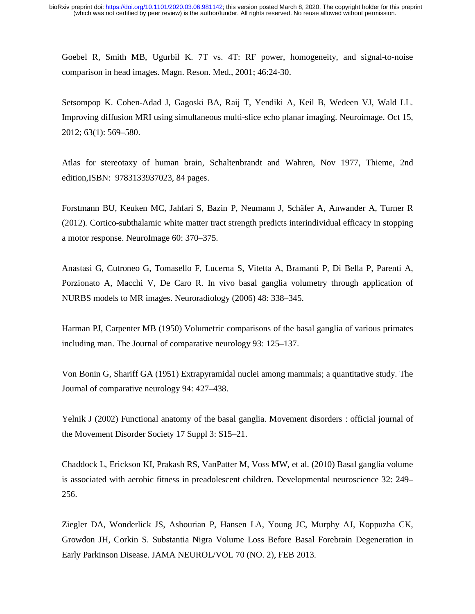Goebel R, Smith MB, Ugurbil K. 7T vs. 4T: RF power, homogeneity, and signal-to-noise comparison in head images. Magn. Reson. Med., 2001; 46:24-30.

Setsompop K. Cohen-Adad J, Gagoski BA, Raij T, Yendiki A, Keil B, Wedeen VJ, Wald LL. Improving diffusion MRI using simultaneous multi-slice echo planar imaging. Neuroimage. Oct 15, 2012; 63(1): 569–580.

Atlas for stereotaxy of human brain, Schaltenbrandt and Wahren, Nov 1977, Thieme, 2nd edition,ISBN: 9783133937023, 84 pages.

Forstmann BU, Keuken MC, Jahfari S, Bazin P, Neumann J, Schäfer A, Anwander A, Turner R (2012). Cortico-subthalamic white matter tract strength predicts interindividual efficacy in stopping a motor response. NeuroImage 60: 370–375.

Anastasi G, Cutroneo G, Tomasello F, Lucerna S, Vitetta A, Bramanti P, Di Bella P, Parenti A, Porzionato A, Macchi V, De Caro R. In vivo basal ganglia volumetry through application of NURBS models to MR images. Neuroradiology (2006) 48: 338–345.

Harman PJ, Carpenter MB (1950) Volumetric comparisons of the basal ganglia of various primates including man. The Journal of comparative neurology 93: 125–137.

Von Bonin G, Shariff GA (1951) Extrapyramidal nuclei among mammals; a quantitative study. The Journal of comparative neurology 94: 427–438.

Yelnik J (2002) Functional anatomy of the basal ganglia. Movement disorders : official journal of the Movement Disorder Society 17 Suppl 3: S15–21.

Chaddock L, Erickson KI, Prakash RS, VanPatter M, Voss MW, et al. (2010) Basal ganglia volume is associated with aerobic fitness in preadolescent children. Developmental neuroscience 32: 249– 256.

Ziegler DA, Wonderlick JS, Ashourian P, Hansen LA, Young JC, Murphy AJ, Koppuzha CK, Growdon JH, Corkin S. Substantia Nigra Volume Loss Before Basal Forebrain Degeneration in Early Parkinson Disease. JAMA NEUROL/VOL 70 (NO. 2), FEB 2013.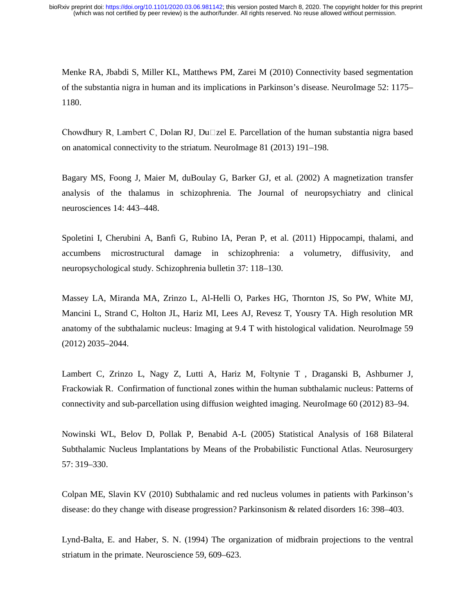Menke RA, Jbabdi S, Miller KL, Matthews PM, Zarei M (2010) Connectivity based segmentation of the substantia nigra in human and its implications in Parkinson's disease. NeuroImage 52: 1175– 1180.

Chowdhury R, Lambert C, Dolan RJ, Du $\square$ zel E. Parcellation of the human substantia nigra based on anatomical connectivity to the striatum. NeuroImage 81 (2013) 191–198.

Bagary MS, Foong J, Maier M, duBoulay G, Barker GJ, et al. (2002) A magnetization transfer analysis of the thalamus in schizophrenia. The Journal of neuropsychiatry and clinical neurosciences 14: 443–448.

Spoletini I, Cherubini A, Banfi G, Rubino IA, Peran P, et al. (2011) Hippocampi, thalami, and accumbens microstructural damage in schizophrenia: a volumetry, diffusivity, and neuropsychological study. Schizophrenia bulletin 37: 118–130.

Massey LA, Miranda MA, Zrinzo L, Al-Helli O, Parkes HG, Thornton JS, So PW, White MJ, Mancini L, Strand C, Holton JL, Hariz MI, Lees AJ, Revesz T, Yousry TA. High resolution MR anatomy of the subthalamic nucleus: Imaging at 9.4 T with histological validation. NeuroImage 59 (2012) 2035–2044.

Lambert C, Zrinzo L, Nagy Z, Lutti A, Hariz M, Foltynie T , Draganski B, Ashburner J, Frackowiak R. Confirmation of functional zones within the human subthalamic nucleus: Patterns of connectivity and sub-parcellation using diffusion weighted imaging. NeuroImage 60 (2012) 83–94.

Nowinski WL, Belov D, Pollak P, Benabid A-L (2005) Statistical Analysis of 168 Bilateral Subthalamic Nucleus Implantations by Means of the Probabilistic Functional Atlas. Neurosurgery 57: 319–330.

Colpan ME, Slavin KV (2010) Subthalamic and red nucleus volumes in patients with Parkinson's disease: do they change with disease progression? Parkinsonism & related disorders 16: 398–403.

Lynd-Balta, E. and Haber, S. N. (1994) The organization of midbrain projections to the ventral striatum in the primate. Neuroscience 59, 609–623.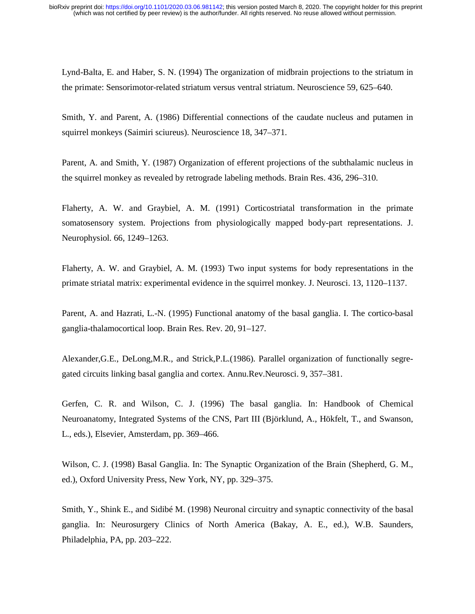Lynd-Balta, E. and Haber, S. N. (1994) The organization of midbrain projections to the striatum in the primate: Sensorimotor-related striatum versus ventral striatum. Neuroscience 59, 625–640.

Smith, Y. and Parent, A. (1986) Differential connections of the caudate nucleus and putamen in squirrel monkeys (Saimiri sciureus). Neuroscience 18, 347–371.

Parent, A. and Smith, Y. (1987) Organization of efferent projections of the subthalamic nucleus in the squirrel monkey as revealed by retrograde labeling methods. Brain Res. 436, 296–310.

Flaherty, A. W. and Graybiel, A. M. (1991) Corticostriatal transformation in the primate somatosensory system. Projections from physiologically mapped body-part representations. J. Neurophysiol. 66, 1249–1263.

Flaherty, A. W. and Graybiel, A. M. (1993) Two input systems for body representations in the primate striatal matrix: experimental evidence in the squirrel monkey. J. Neurosci. 13, 1120–1137.

Parent, A. and Hazrati, L.-N. (1995) Functional anatomy of the basal ganglia. I. The cortico-basal ganglia-thalamocortical loop. Brain Res. Rev. 20, 91–127.

Alexander,G.E., DeLong,M.R., and Strick,P.L.(1986). Parallel organization of functionally segregated circuits linking basal ganglia and cortex. Annu.Rev.Neurosci. 9, 357–381.

Gerfen, C. R. and Wilson, C. J. (1996) The basal ganglia. In: Handbook of Chemical Neuroanatomy, Integrated Systems of the CNS, Part III (Björklund, A., Hökfelt, T., and Swanson, L., eds.), Elsevier, Amsterdam, pp. 369–466.

Wilson, C. J. (1998) Basal Ganglia. In: The Synaptic Organization of the Brain (Shepherd, G. M., ed.), Oxford University Press, New York, NY, pp. 329–375.

Smith, Y., Shink E., and Sidibé M. (1998) Neuronal circuitry and synaptic connectivity of the basal ganglia. In: Neurosurgery Clinics of North America (Bakay, A. E., ed.), W.B. Saunders, Philadelphia, PA, pp. 203–222.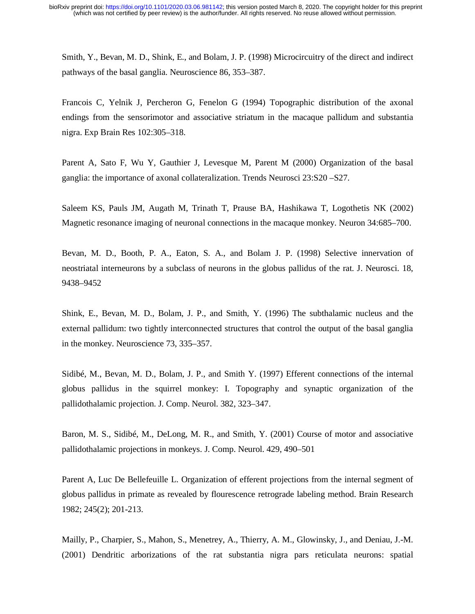Smith, Y., Bevan, M. D., Shink, E., and Bolam, J. P. (1998) Microcircuitry of the direct and indirect pathways of the basal ganglia. Neuroscience 86, 353–387.

Francois C, Yelnik J, Percheron G, Fenelon G (1994) Topographic distribution of the axonal endings from the sensorimotor and associative striatum in the macaque pallidum and substantia nigra. Exp Brain Res 102:305–318.

Parent A, Sato F, Wu Y, Gauthier J, Levesque M, Parent M (2000) Organization of the basal ganglia: the importance of axonal collateralization. Trends Neurosci 23:S20 –S27.

Saleem KS, Pauls JM, Augath M, Trinath T, Prause BA, Hashikawa T, Logothetis NK (2002) Magnetic resonance imaging of neuronal connections in the macaque monkey. Neuron 34:685–700.

Bevan, M. D., Booth, P. A., Eaton, S. A., and Bolam J. P. (1998) Selective innervation of neostriatal interneurons by a subclass of neurons in the globus pallidus of the rat. J. Neurosci. 18, 9438–9452

Shink, E., Bevan, M. D., Bolam, J. P., and Smith, Y. (1996) The subthalamic nucleus and the external pallidum: two tightly interconnected structures that control the output of the basal ganglia in the monkey. Neuroscience 73, 335–357.

Sidibé, M., Bevan, M. D., Bolam, J. P., and Smith Y. (1997) Efferent connections of the internal globus pallidus in the squirrel monkey: I. Topography and synaptic organization of the pallidothalamic projection. J. Comp. Neurol. 382, 323–347.

Baron, M. S., Sidibé, M., DeLong, M. R., and Smith, Y. (2001) Course of motor and associative pallidothalamic projections in monkeys. J. Comp. Neurol. 429, 490–501

Parent A, Luc De Bellefeuille L. Organization of efferent projections from the internal segment of globus pallidus in primate as revealed by flourescence retrograde labeling method. Brain Research 1982; 245(2); 201-213.

Mailly, P., Charpier, S., Mahon, S., Menetrey, A., Thierry, A. M., Glowinsky, J., and Deniau, J.-M. (2001) Dendritic arborizations of the rat substantia nigra pars reticulata neurons: spatial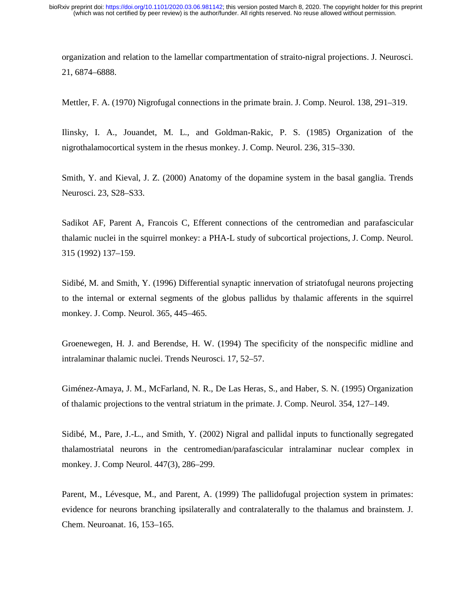organization and relation to the lamellar compartmentation of straito-nigral projections. J. Neurosci. 21, 6874–6888.

Mettler, F. A. (1970) Nigrofugal connections in the primate brain. J. Comp. Neurol. 138, 291–319.

Ilinsky, I. A., Jouandet, M. L., and Goldman-Rakic, P. S. (1985) Organization of the nigrothalamocortical system in the rhesus monkey. J. Comp. Neurol. 236, 315–330.

Smith, Y. and Kieval, J. Z. (2000) Anatomy of the dopamine system in the basal ganglia. Trends Neurosci. 23, S28–S33.

Sadikot AF, Parent A, Francois C, Efferent connections of the centromedian and parafascicular thalamic nuclei in the squirrel monkey: a PHA-L study of subcortical projections, J. Comp. Neurol. 315 (1992) 137–159.

Sidibé, M. and Smith, Y. (1996) Differential synaptic innervation of striatofugal neurons projecting to the internal or external segments of the globus pallidus by thalamic afferents in the squirrel monkey. J. Comp. Neurol. 365, 445–465.

Groenewegen, H. J. and Berendse, H. W. (1994) The specificity of the nonspecific midline and intralaminar thalamic nuclei. Trends Neurosci. 17, 52–57.

Giménez-Amaya, J. M., McFarland, N. R., De Las Heras, S., and Haber, S. N. (1995) Organization of thalamic projections to the ventral striatum in the primate. J. Comp. Neurol. 354, 127–149.

Sidibé, M., Pare, J.-L., and Smith, Y. (2002) Nigral and pallidal inputs to functionally segregated thalamostriatal neurons in the centromedian/parafascicular intralaminar nuclear complex in monkey. J. Comp Neurol. 447(3), 286–299.

Parent, M., Lévesque, M., and Parent, A. (1999) The pallidofugal projection system in primates: evidence for neurons branching ipsilaterally and contralaterally to the thalamus and brainstem. J. Chem. Neuroanat. 16, 153–165.